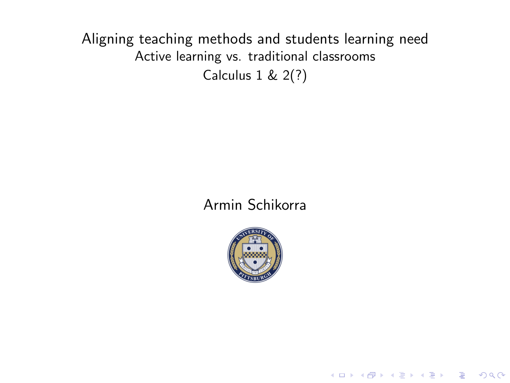Aligning teaching methods and students learning need Active learning vs. traditional classrooms Calculus 1 & 2(?)

#### Armin Schikorra



K ロ ▶ K 個 ▶ K 할 ▶ K 할 ▶ 이 할 → 9 Q Q →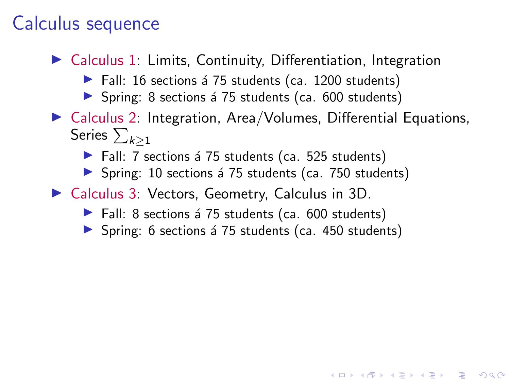### Calculus sequence

 $\triangleright$  Calculus 1: Limits, Continuity, Differentiation, Integration

- $\blacktriangleright$  Fall: 16 sections á 75 students (ca. 1200 students)
- $\triangleright$  Spring: 8 sections á 75 students (ca. 600 students)
- $\triangleright$  Calculus 2: Integration, Area/Volumes, Differential Equations, Series  $\sum_{k\geq 1}$ 
	- $\blacktriangleright$  Fall: 7 sections á 75 students (ca. 525 students)
	- $\triangleright$  Spring: 10 sections á 75 students (ca. 750 students)
- $\triangleright$  Calculus 3: Vectors, Geometry, Calculus in 3D.
	- $\blacktriangleright$  Fall: 8 sections á 75 students (ca. 600 students)
	- $\triangleright$  Spring: 6 sections á 75 students (ca. 450 students)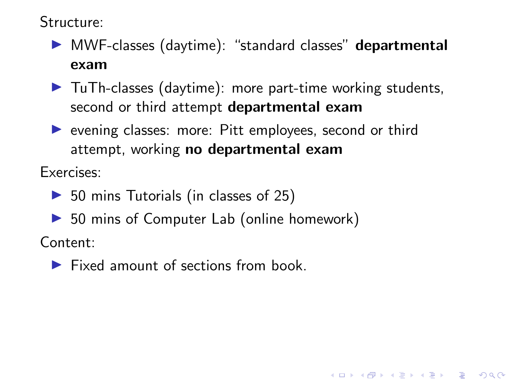Structure:

- ▶ MWF-classes (daytime): "standard classes" departmental exam
- $\blacktriangleright$  TuTh-classes (daytime): more part-time working students, second or third attempt departmental exam

**KORKARYKERKER OQO** 

 $\triangleright$  evening classes: more: Pitt employees, second or third attempt, working no departmental exam

Exercises:

- $\triangleright$  50 mins Tutorials (in classes of 25)
- $\triangleright$  50 mins of Computer Lab (online homework)

Content:

 $\blacktriangleright$  Fixed amount of sections from book.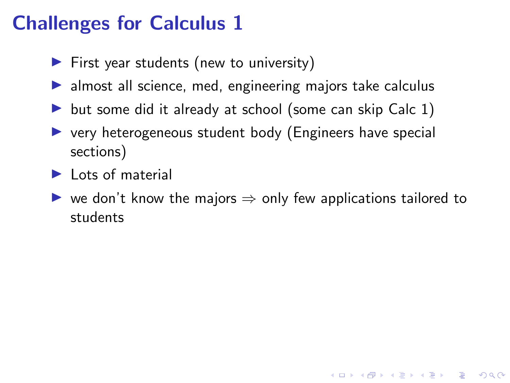# Challenges for Calculus 1

- $\blacktriangleright$  First year students (new to university)
- $\blacktriangleright$  almost all science, med, engineering majors take calculus
- $\triangleright$  but some did it already at school (some can skip Calc 1)
- $\triangleright$  very heterogeneous student body (Engineers have special sections)
- $\blacktriangleright$  Lots of material
- ighthrow we don't know the majors  $\Rightarrow$  only few applications tailored to students

**KORK ERKER ADAM ADA**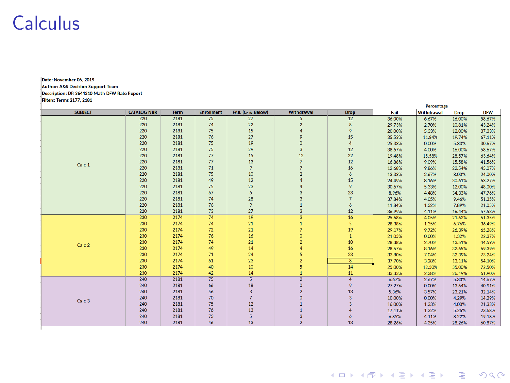### **Calculus**

Date: November 06, 2019 Author: A&S Decision Support Team Description: DR 3644210 Math DFW Rate Report Filters: Terms 2177, 2181

|                   |                    |             |                   |                      |                |                 | Percentage |                   |             |            |
|-------------------|--------------------|-------------|-------------------|----------------------|----------------|-----------------|------------|-------------------|-------------|------------|
| <b>SUBJECT</b>    | <b>CATALOG NBR</b> | <b>Term</b> | <b>Enrollment</b> | FAIL (C- & Below)    | Withdrawal     | Drop            | Fall       | <b>Withdrawal</b> | <b>Drop</b> | <b>DFW</b> |
|                   | 220                | 2181        | 75                | 27                   | 5              | 12              | 36.00%     | 6.67%             | 16.00%      | 58.67%     |
|                   | 220                | 2181        | 74                | 22                   | $\overline{2}$ | 8               | 29.73%     | 2.70%             | 10.81%      | 43.24%     |
|                   | 220                | 2181        | 75                | 15                   |                | $\overline{9}$  | 20.00%     | 5.33%             | 12.00%      | 37.33%     |
|                   | 220                | 2181        | 76                | 27                   | $\circ$        | 15              | 35.53%     | 11.84%            | 19.74%      | 67.11%     |
|                   | 220                | 2181        | 75                | 19                   | $\Omega$       | 4               | 25.33%     | 0.00%             | 5.33%       | 30.67%     |
|                   | 220                | 2181        | 75                | 29                   | 3              | $12\,$          | 38.67%     | 4.00%             | 16.00%      | 58.67%     |
|                   | 220                | 2181        | 77                | 15                   | 12             | 22              | 19.48%     | 15.58%            | 28.57%      | 63.64%     |
| Calc 1            | 220                | 2181        | 77                | 13                   |                | 12              | 16.88%     | 9.09%             | 15.58%      | 41.56%     |
|                   | 220                | 2181        | 71                | $\mathbf{9}$         |                | 16              | 12.68%     | 9.86%             | 22.54%      | 45.07%     |
|                   | 220                | 2181        | 75                | 10                   |                | 6               | 13.33%     | 2.67%             | 8.00%       | 24.00%     |
|                   | 220                | 2181        | 49                | 12                   |                | 15              | 24.49%     | 8.16%             | 30.61%      | 63.27%     |
|                   | 220                | 2181        | 75                | 23                   |                | 9               | 30.67%     | 5.33%             | 12.00%      | 48.00%     |
|                   | 220                | 2181        | 67                | $\ddot{\phantom{a}}$ |                | 23              | 8.96%      | 4.48%             | 34.33%      | 47.76%     |
|                   | 220                | 2181        | 74                | 28                   |                | $\overline{7}$  | 37.84%     | 4.05%             | 9.46%       | 51.35%     |
|                   | 220                | 2181        | 76                | 9                    |                | 6               | 11.84%     | 1.32%             | 7.89%       | 21.05%     |
|                   | 220                | 2181        | 73                | 27                   | $\overline{3}$ | $12\,$          | 36.99%     | 4.11%             | 16.44%      | 57.53%     |
|                   | 230                | 2174        | 74                | 19                   | 3              | 16              | 25.68%     | 4.05%             | 21.62%      | 51.35%     |
|                   | 230                | 2174        | 74                | 21                   |                | 5               | 28.38%     | 1.35%             | 6.76%       | 36.49%     |
|                   | 230                | 2174        | 72                | 21                   |                | 19              | 29.17%     | 9.72%             | 26.39%      | 65.28%     |
|                   | 230                | 2174        | 76                | 16                   |                | $\mathbf{1}$    | 21.05%     | 0.00%             | 1.32%       | 22.37%     |
| Calc <sub>2</sub> | 230                | 2174        | 74                | 21                   |                | 10              | 28.38%     | 2.70%             | 13.51%      | 44.59%     |
|                   | 230                | 2174        | 49                | 14                   |                | 16              | 28.57%     | 8.16%             | 32.65%      | 69.39%     |
|                   | 230                | 2174        | 71                | 24                   |                | 23              | 33.80%     | 7.04%             | 32.39%      | 73.24%     |
|                   | 230                | 2174        | 61                | 23                   | $\overline{2}$ | $\overline{8}$  | 37.70%     | 3.28%             | 13.11%      | 54.10%     |
|                   | 230                | 2174        | 40                | 10                   | 5              | $\overline{14}$ | 25.00%     | 12.50%            | 35.00%      | 72.50%     |
|                   | 230                | 2174        | 42                | 14                   |                | 11              | 33.33%     | 2.38%             | 26.19%      | 61.90%     |
| Calc 3            | 240                | 2181        | 75                | $\overline{5}$       | $\overline{2}$ | $\overline{4}$  | 6.67%      | 2.67%             | 5.33%       | 14.67%     |
|                   | 240                | 2181        | 66                | 18                   | $\mathbf 0$    | 9               | 27.27%     | 0.00%             | 13.64%      | 40.91%     |
|                   | 240                | 2181        | 56                | $\overline{3}$       |                | 13              | 5.36%      | 3.57%             | 23.21%      | 32.14%     |
|                   | 240                | 2181        | 70                | $\overline{7}$       |                | $\overline{a}$  | 10.00%     | 0.00%             | 4.29%       | 14.29%     |
|                   | 240                | 2181        | 75                | 12                   |                |                 | 16,00%     | 1.33%             | 4.00%       | 21.33%     |
|                   | 240                | 2181        | 76                | 13                   |                |                 | 17.11%     | 1.32%             | 5.26%       | 23.68%     |
|                   | 240                | 2181        | 73                | 5                    | 3              | 6               | 6.85%      | 4.11%             | 8.22%       | 19.18%     |
|                   | 240                | 2181        | 46                | 13                   | $\overline{2}$ | 13              | 28.26%     | 4.35%             | 28.26%      | 60.87%     |
|                   |                    |             |                   |                      |                |                 |            |                   |             |            |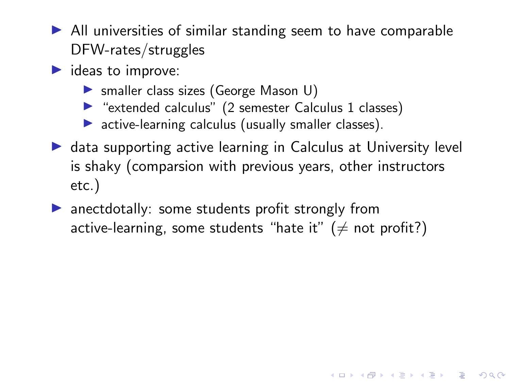- $\blacktriangleright$  All universities of similar standing seem to have comparable DFW-rates/struggles
- $\blacktriangleright$  ideas to improve:
	- $\triangleright$  smaller class sizes (George Mason U)
	- $\triangleright$  "extended calculus" (2 semester Calculus 1 classes)
	- $\blacktriangleright$  active-learning calculus (usually smaller classes).
- $\triangleright$  data supporting active learning in Calculus at University level is shaky (comparsion with previous years, other instructors etc.)

 $\triangleright$  anectdotally: some students profit strongly from active-learning, some students "hate it" ( $\neq$  not profit?)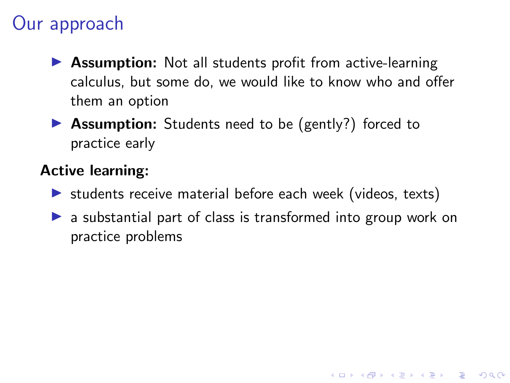### Our approach

- **Assumption:** Not all students profit from active-learning calculus, but some do, we would like to know who and offer them an option
- **Assumption:** Students need to be (gently?) forced to practice early

### Active learning:

- $\triangleright$  students receive material before each week (videos, texts)
- $\triangleright$  a substantial part of class is transformed into group work on practice problems

**KORKARYKERKER OQO**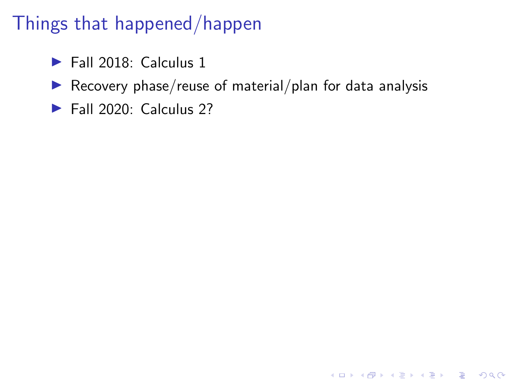### Things that happened/happen

- $\blacktriangleright$  Fall 2018: Calculus 1
- Recovery phase/reuse of material/plan for data analysis

KO K K Ø K K E K K E K V K K K K K K K K K

 $\blacktriangleright$  Fall 2020: Calculus 2?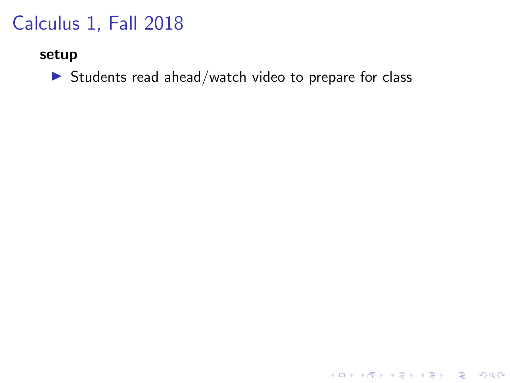setup

 $\triangleright$  Students read ahead/watch video to prepare for class

K ロ ▶ K @ ▶ K 할 ▶ K 할 ▶ | 할 | ⊙Q @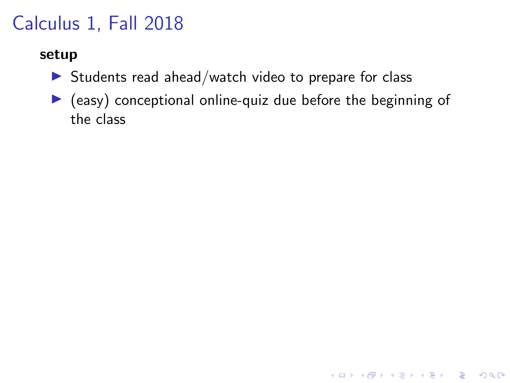#### setup

- $\triangleright$  Students read ahead/watch video to prepare for class
- $\triangleright$  (easy) conceptional online-quiz due before the beginning of the class

K ロ ▶ K 個 ▶ K 할 ▶ K 할 ▶ 이 할 → 9 Q Q →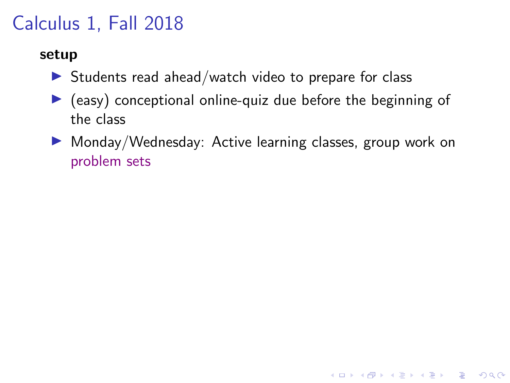### setup

- $\triangleright$  Students read ahead/watch video to prepare for class
- $\triangleright$  (easy) conceptional online-quiz due before the beginning of the class
- ▶ Monday/Wednesday: Active learning classes, group work on problem sets

**KORK ERKER ADAM ADA**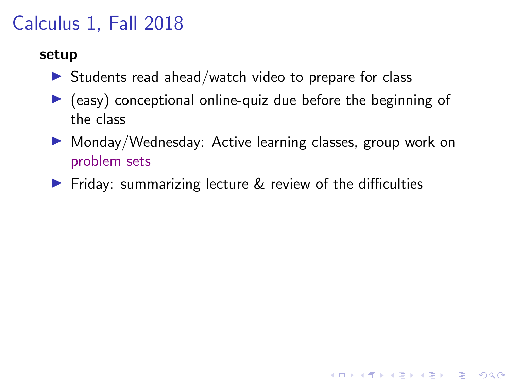### setup

- $\triangleright$  Students read ahead/watch video to prepare for class
- $\triangleright$  (easy) conceptional online-quiz due before the beginning of the class
- ▶ Monday/Wednesday: Active learning classes, group work on problem sets

**KORK ERKER ADAM ADA** 

 $\blacktriangleright$  Friday: summarizing lecture & review of the difficulties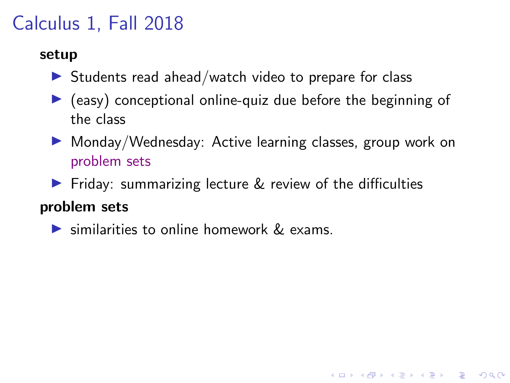### setup

- $\triangleright$  Students read ahead/watch video to prepare for class
- $\triangleright$  (easy) conceptional online-quiz due before the beginning of the class
- ▶ Monday/Wednesday: Active learning classes, group work on problem sets

**KORKARYKERKER OQO** 

 $\blacktriangleright$  Friday: summarizing lecture & review of the difficulties

### problem sets

 $\triangleright$  similarities to online homework  $\&$  exams.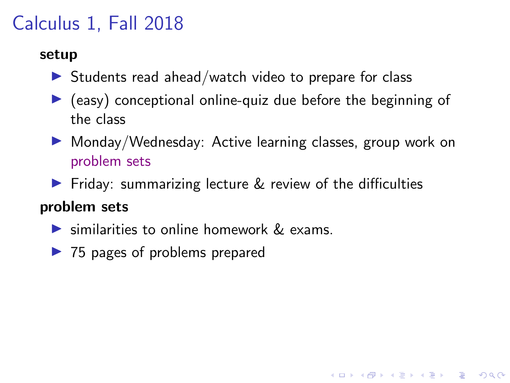#### setup

- $\triangleright$  Students read ahead/watch video to prepare for class
- $\triangleright$  (easy) conceptional online-quiz due before the beginning of the class
- ▶ Monday/Wednesday: Active learning classes, group work on problem sets

**KORKARYKERKER OQO** 

 $\blacktriangleright$  Friday: summarizing lecture & review of the difficulties

### problem sets

- $\triangleright$  similarities to online homework  $\&$  exams.
- $\triangleright$  75 pages of problems prepared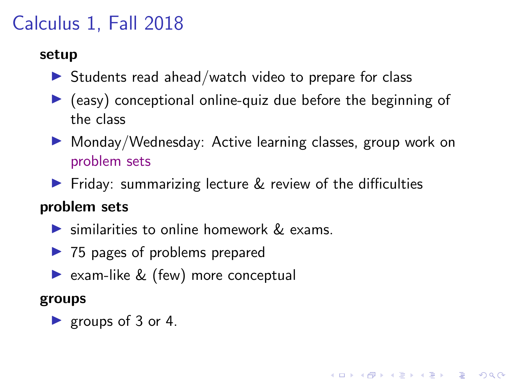### setup

- $\triangleright$  Students read ahead/watch video to prepare for class
- $\triangleright$  (easy) conceptional online-quiz due before the beginning of the class
- ▶ Monday/Wednesday: Active learning classes, group work on problem sets

**KORKARYKERKER OQO** 

 $\blacktriangleright$  Friday: summarizing lecture & review of the difficulties

### problem sets

- $\triangleright$  similarities to online homework  $\&$  exams.
- $\triangleright$  75 pages of problems prepared
- $\triangleright$  exam-like & (few) more conceptual

### groups

 $\blacktriangleright$  groups of 3 or 4.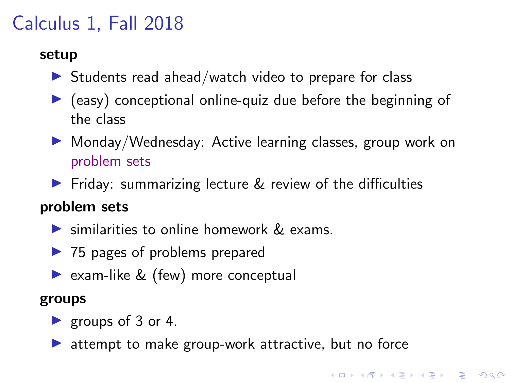#### setup

- $\triangleright$  Students read ahead/watch video to prepare for class
- $\triangleright$  (easy) conceptional online-quiz due before the beginning of the class
- ▶ Monday/Wednesday: Active learning classes, group work on problem sets
- $\blacktriangleright$  Friday: summarizing lecture & review of the difficulties

### problem sets

- $\triangleright$  similarities to online homework  $\&$  exams.
- $\triangleright$  75 pages of problems prepared
- $\triangleright$  exam-like & (few) more conceptual

#### groups

- $\blacktriangleright$  groups of 3 or 4.
- $\blacktriangleright$  attempt to make group-work attractive, but no force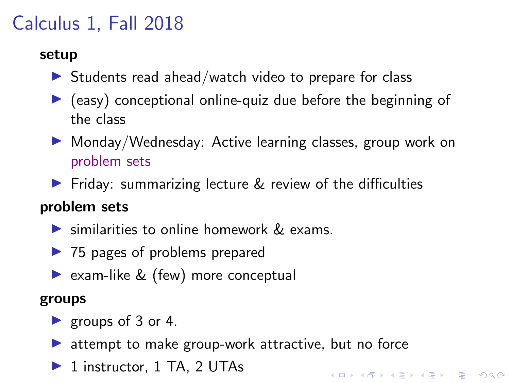### setup

- $\triangleright$  Students read ahead/watch video to prepare for class
- $\triangleright$  (easy) conceptional online-quiz due before the beginning of the class
- ▶ Monday/Wednesday: Active learning classes, group work on problem sets
- $\blacktriangleright$  Friday: summarizing lecture & review of the difficulties

### problem sets

- $\triangleright$  similarities to online homework  $\&$  exams.
- $\triangleright$  75 pages of problems prepared
- $\triangleright$  exam-like & (few) more conceptual

#### groups

- $\blacktriangleright$  groups of 3 or 4.
- $\blacktriangleright$  attempt to make group-work attractive, but no force

KID KA KERKER KID KO

 $\blacktriangleright$  1 instructor, 1 TA, 2 UTAs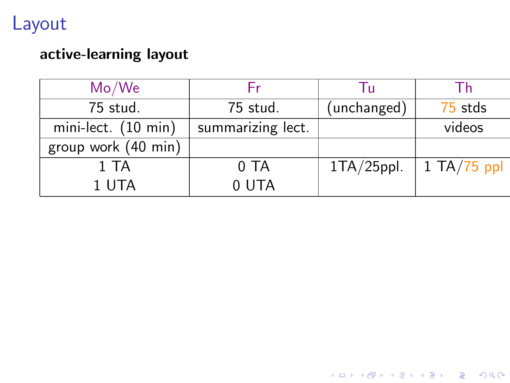### Layout

### active-learning layout

| Mo/We               | F۳                |             |                          |
|---------------------|-------------------|-------------|--------------------------|
| 75 stud.            | 75 stud.          | (unchanged) | 75 stds                  |
| mini-lect. (10 min) | summarizing lect. |             | videos                   |
| group work (40 min) |                   |             |                          |
| 1 TA                | 0 TA              |             | $1TA/25ppl.$ 1 TA/75 ppl |
| 1 UTA               | 0 UTA             |             |                          |

KE K K Ø K K E K K E K V R K K K K K K K K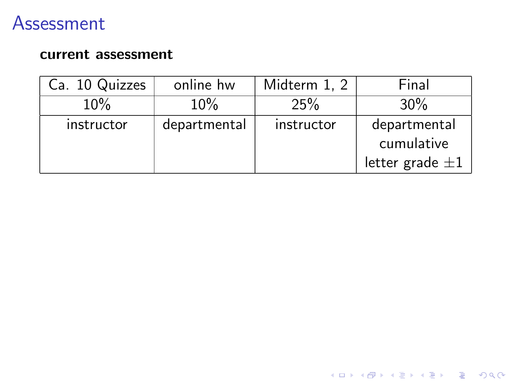### Assessment

#### current assessment

| Ca. 10 Quizzes | online hw    | Midterm 1, 2 | Final                |
|----------------|--------------|--------------|----------------------|
| 10%            | 10%          | 25%          | 30%                  |
| instructor     | departmental | instructor   | departmental         |
|                |              |              | cumulative           |
|                |              |              | letter grade $\pm 1$ |

K ロ ▶ K @ ▶ K 할 ▶ K 할 ▶ | 할 | ⊙Q @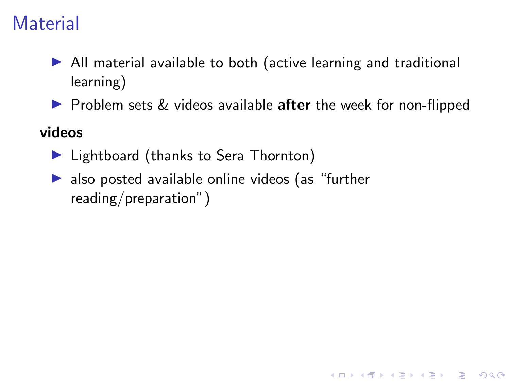# **Material**

- $\triangleright$  All material available to both (active learning and traditional learning)
- $\triangleright$  Problem sets & videos available **after** the week for non-flipped

K ロ ▶ K 個 ▶ K 할 ▶ K 할 ▶ 이 할 → 9 Q Q →

### videos

- ▶ Lightboard (thanks to Sera Thornton)
- $\triangleright$  also posted available online videos (as "further reading/preparation")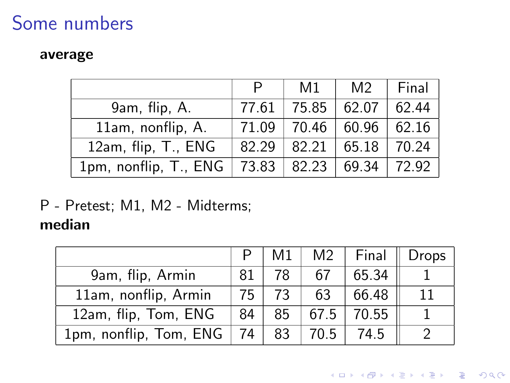### Some numbers

#### average

|                       | Ρ               | M1    | M <sub>2</sub> | Final |
|-----------------------|-----------------|-------|----------------|-------|
| 9am, flip, A.         | 77.61           | 75.85 | 62.07          | 62.44 |
| 11am, nonflip, A.     | 71.09           |       | 70.46 60.96    | 62.16 |
| 12am, flip, T., ENG   | 82.29           | 82.21 | 65.18          | 70.24 |
| 1pm, nonflip, T., ENG | $ 73.83\rangle$ | 82.23 | 69.34          | 72.92 |

P - Pretest; M1, M2 - Midterms;

### median

|                        |    | M1 | M2   | Final            | Drops |
|------------------------|----|----|------|------------------|-------|
| 9am, flip, Armin       | 81 | 78 | 67   | 65.34            |       |
| 11am, nonflip, Armin   | 75 | 73 | 63   | 66.48            | 11    |
| 12am, flip, Tom, ENG   | 84 | 85 |      | $67.5$   $70.55$ |       |
| 1pm, nonflip, Tom, ENG | 74 | 83 | 70.5 | 74.5             |       |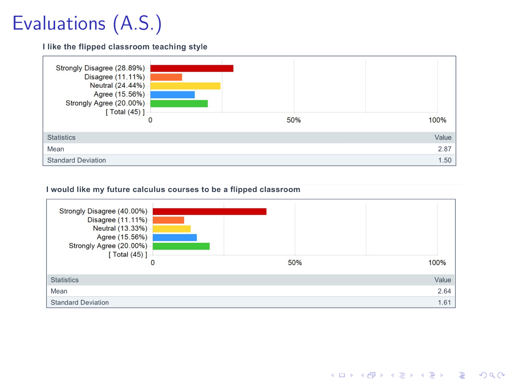# Evaluations (A.S.)

I like the flipped classroom teaching style



#### I would like my future calculus courses to be a flipped classroom



**KORK EXTERNE PROVIDE**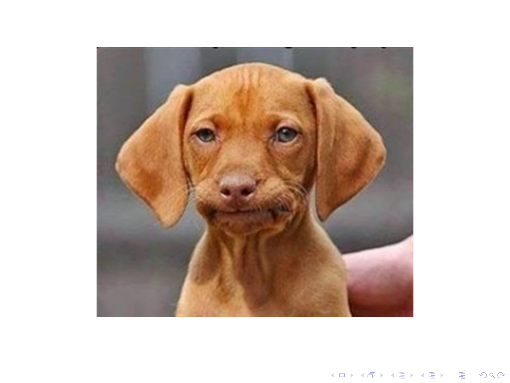

**Kロトメ部トメミトメミト ミニのQC**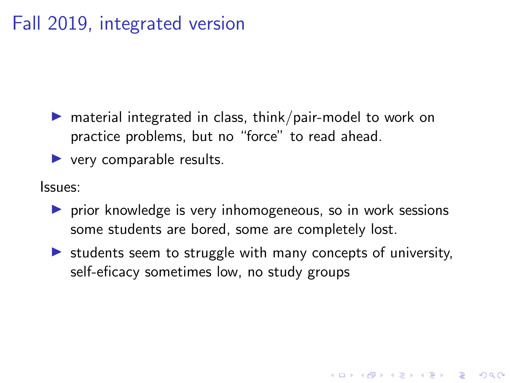### Fall 2019, integrated version

- $\triangleright$  material integrated in class, think/pair-model to work on practice problems, but no "force" to read ahead.
- $\blacktriangleright$  very comparable results.

Issues:

- $\triangleright$  prior knowledge is very inhomogeneous, so in work sessions some students are bored, some are completely lost.
- $\triangleright$  students seem to struggle with many concepts of university, self-eficacy sometimes low, no study groups

**KORKARYKERKER OQO**